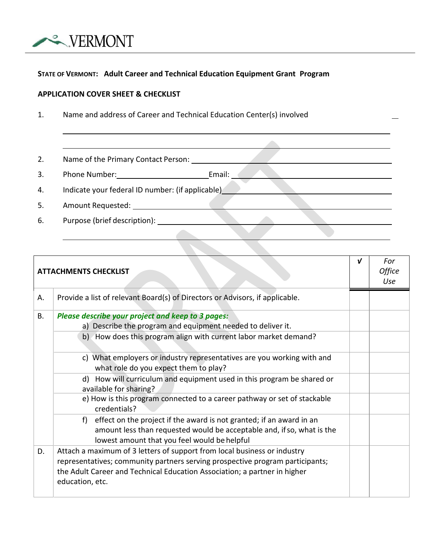

## **STATE OF VERMONT: Adult Career and Technical Education Equipment Grant Program**

## **APPLICATION COVER SHEET & CHECKLIST**

1. Name and address of Career and Technical Education Center(s) involved

2. Name of the Primary Contact Person:

3. Phone Number: Email:

4. Indicate your federal ID number: (if applicable)

5. Amount Requested:

6. Purpose (brief description): <u>Conservation and the conservation</u>

| <b>ATTACHMENTS CHECKLIST</b> |                                                                                                                                                                                                                                                           | $\mathbf{v}$ | For<br><b>Office</b><br>Use |
|------------------------------|-----------------------------------------------------------------------------------------------------------------------------------------------------------------------------------------------------------------------------------------------------------|--------------|-----------------------------|
| Α.                           | Provide a list of relevant Board(s) of Directors or Advisors, if applicable.                                                                                                                                                                              |              |                             |
| <b>B.</b>                    | Please describe your project and keep to 3 pages:<br>a) Describe the program and equipment needed to deliver it.                                                                                                                                          |              |                             |
|                              | b) How does this program align with current labor market demand?                                                                                                                                                                                          |              |                             |
|                              | c) What employers or industry representatives are you working with and<br>what role do you expect them to play?                                                                                                                                           |              |                             |
|                              | How will curriculum and equipment used in this program be shared or<br>d)<br>available for sharing?                                                                                                                                                       |              |                             |
|                              | e) How is this program connected to a career pathway or set of stackable<br>credentials?                                                                                                                                                                  |              |                             |
|                              | effect on the project if the award is not granted; if an award in an<br>f)<br>amount less than requested would be acceptable and, if so, what is the<br>lowest amount that you feel would be helpful                                                      |              |                             |
| D.                           | Attach a maximum of 3 letters of support from local business or industry<br>representatives; community partners serving prospective program participants;<br>the Adult Career and Technical Education Association; a partner in higher<br>education, etc. |              |                             |

 $\blacksquare$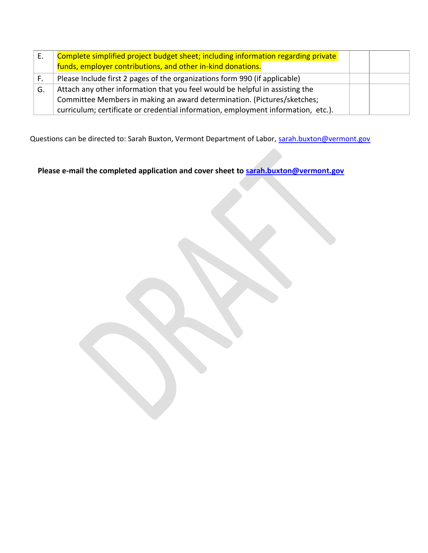| Ε. | Complete simplified project budget sheet; including information regarding private<br>funds, employer contributions, and other in-kind donations. |  |
|----|--------------------------------------------------------------------------------------------------------------------------------------------------|--|
| F. | Please Include first 2 pages of the organizations form 990 (if applicable)                                                                       |  |
| G. | Attach any other information that you feel would be helpful in assisting the                                                                     |  |
|    | Committee Members in making an award determination. (Pictures/sketches;                                                                          |  |
|    | curriculum; certificate or credential information, employment information, etc.).                                                                |  |

Questions can be directed to: Sarah Buxton, Vermont Department of Labor, [sarah.buxton@vermont.gov](mailto:sarah.buxton@vermont.gov)

**Please e-mail the completed application and cover sheet to [sarah.buxton@vermont.gov](mailto:sarah.buxton@vermont.gov)**